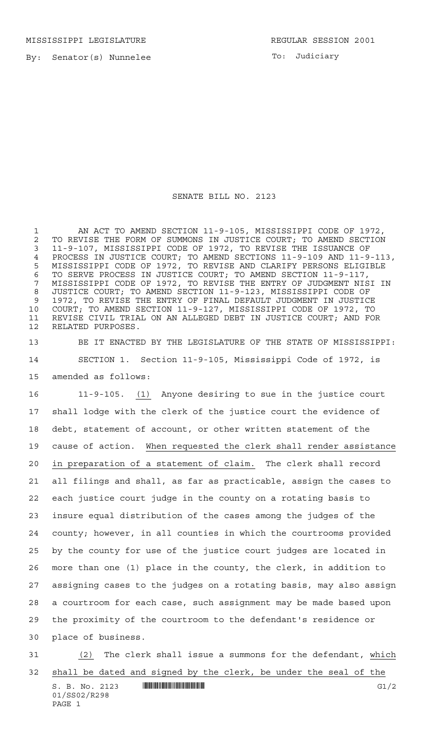MISSISSIPPI LEGISLATURE REGULAR SESSION 2001

By: Senator(s) Nunnelee

To: Judiciary

## SENATE BILL NO. 2123

1 AN ACT TO AMEND SECTION 11-9-105, MISSISSIPPI CODE OF 1972, 2 TO REVISE THE FORM OF SUMMONS IN JUSTICE COURT; TO AMEND SECTION<br>3 11-9-107, MISSISSIPPI CODE OF 1972, TO REVISE THE ISSUANCE OF 11-9-107, MISSISSIPPI CODE OF 1972, TO REVISE THE ISSUANCE OF PROCESS IN JUSTICE COURT; TO AMEND SECTIONS 11-9-109 AND 11-9-113, MISSISSIPPI CODE OF 1972, TO REVISE AND CLARIFY PERSONS ELIGIBLE TO SERVE PROCESS IN JUSTICE COURT; TO AMEND SECTION 11-9-117, MISSISSIPPI CODE OF 1972, TO REVISE THE ENTRY OF JUDGMENT NISI IN JUSTICE COURT; TO AMEND SECTION 11-9-123, MISSISSIPPI CODE OF 1972, TO REVISE THE ENTRY OF FINAL DEFAULT JUDGMENT IN JUSTICE COURT; TO AMEND SECTION 11-9-127, MISSISSIPPI CODE OF 1972, TO REVISE CIVIL TRIAL ON AN ALLEGED DEBT IN JUSTICE COURT; AND FOR RELATED PURPOSES.

 BE IT ENACTED BY THE LEGISLATURE OF THE STATE OF MISSISSIPPI: SECTION 1. Section 11-9-105, Mississippi Code of 1972, is amended as follows:

 11-9-105. (1) Anyone desiring to sue in the justice court shall lodge with the clerk of the justice court the evidence of debt, statement of account, or other written statement of the cause of action. When requested the clerk shall render assistance in preparation of a statement of claim. The clerk shall record all filings and shall, as far as practicable, assign the cases to each justice court judge in the county on a rotating basis to insure equal distribution of the cases among the judges of the county; however, in all counties in which the courtrooms provided by the county for use of the justice court judges are located in more than one (1) place in the county, the clerk, in addition to assigning cases to the judges on a rotating basis, may also assign a courtroom for each case, such assignment may be made based upon the proximity of the courtroom to the defendant's residence or place of business.

 (2) The clerk shall issue a summons for the defendant, which shall be dated and signed by the clerk, be under the seal of the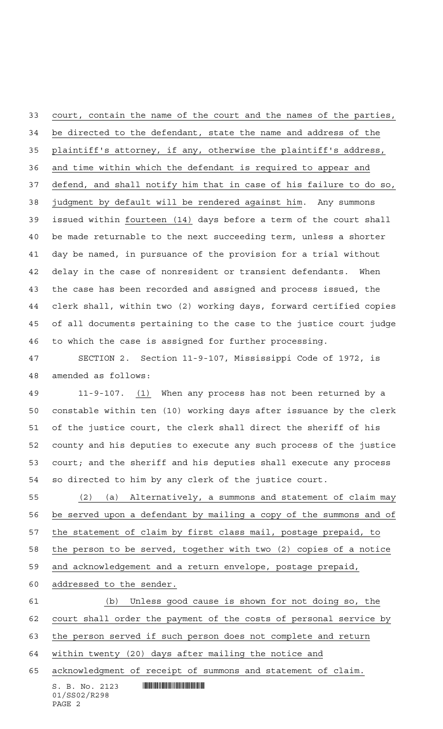court, contain the name of the court and the names of the parties, be directed to the defendant, state the name and address of the plaintiff's attorney, if any, otherwise the plaintiff's address, and time within which the defendant is required to appear and defend, and shall notify him that in case of his failure to do so, judgment by default will be rendered against him. Any summons issued within fourteen (14) days before a term of the court shall be made returnable to the next succeeding term, unless a shorter day be named, in pursuance of the provision for a trial without delay in the case of nonresident or transient defendants. When the case has been recorded and assigned and process issued, the clerk shall, within two (2) working days, forward certified copies of all documents pertaining to the case to the justice court judge to which the case is assigned for further processing.

 SECTION 2. Section 11-9-107, Mississippi Code of 1972, is amended as follows:

 11-9-107. (1) When any process has not been returned by a constable within ten (10) working days after issuance by the clerk of the justice court, the clerk shall direct the sheriff of his county and his deputies to execute any such process of the justice court; and the sheriff and his deputies shall execute any process so directed to him by any clerk of the justice court.

 (2) (a) Alternatively, a summons and statement of claim may be served upon a defendant by mailing a copy of the summons and of the statement of claim by first class mail, postage prepaid, to the person to be served, together with two (2) copies of a notice and acknowledgement and a return envelope, postage prepaid,

addressed to the sender.

 (b) Unless good cause is shown for not doing so, the court shall order the payment of the costs of personal service by the person served if such person does not complete and return within twenty (20) days after mailing the notice and

acknowledgment of receipt of summons and statement of claim.

 $S. B. No. 2123$  . Soc. 2123 01/SS02/R298 PAGE 2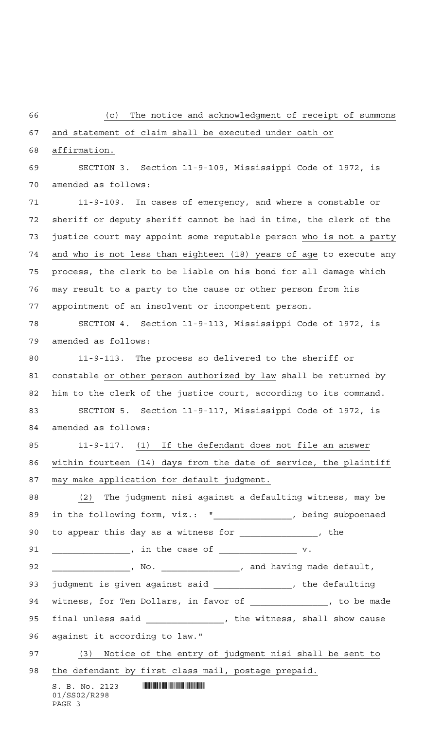## (c) The notice and acknowledgment of receipt of summons

## and statement of claim shall be executed under oath or

affirmation.

 SECTION 3. Section 11-9-109, Mississippi Code of 1972, is amended as follows:

 11-9-109. In cases of emergency, and where a constable or sheriff or deputy sheriff cannot be had in time, the clerk of the justice court may appoint some reputable person who is not a party and who is not less than eighteen (18) years of age to execute any process, the clerk to be liable on his bond for all damage which may result to a party to the cause or other person from his appointment of an insolvent or incompetent person.

 SECTION 4. Section 11-9-113, Mississippi Code of 1972, is amended as follows:

 11-9-113. The process so delivered to the sheriff or constable or other person authorized by law shall be returned by him to the clerk of the justice court, according to its command. SECTION 5. Section 11-9-117, Mississippi Code of 1972, is amended as follows:

 11-9-117. (1) If the defendant does not file an answer within fourteen (14) days from the date of service, the plaintiff may make application for default judgment.

 (2) The judgment nisi against a defaulting witness, may be 89 in the following form, viz.: "\_\_\_\_\_\_\_\_\_\_\_\_\_\_\_, being subpoenaed 90 to appear this day as a witness for \_\_\_\_\_\_\_\_\_\_\_\_\_\_, the

91 \_\_\_\_\_\_\_\_\_\_\_\_\_\_\_, in the case of \_\_\_\_\_\_\_\_\_\_\_\_\_\_\_\_ v.

92 \_\_\_\_\_\_\_\_\_\_\_\_\_\_\_\_, No. \_\_\_\_\_\_\_\_\_\_\_\_\_\_\_\_, and having made default,

93 judgment is given against said \_\_\_\_\_\_\_\_\_\_\_\_\_\_\_, the defaulting 94 witness, for Ten Dollars, in favor of  $\frac{1}{\sqrt{1-\frac{1}{2}}\sqrt{1-\frac{1}{2}}\sqrt{1-\frac{1}{2}}\sqrt{1-\frac{1}{2}}\sqrt{1-\frac{1}{2}}$ 95 final unless said \_\_\_\_\_\_\_\_\_\_\_\_\_, the witness, shall show cause

against it according to law."

(3) Notice of the entry of judgment nisi shall be sent to

98 the defendant by first class mail, postage prepaid.